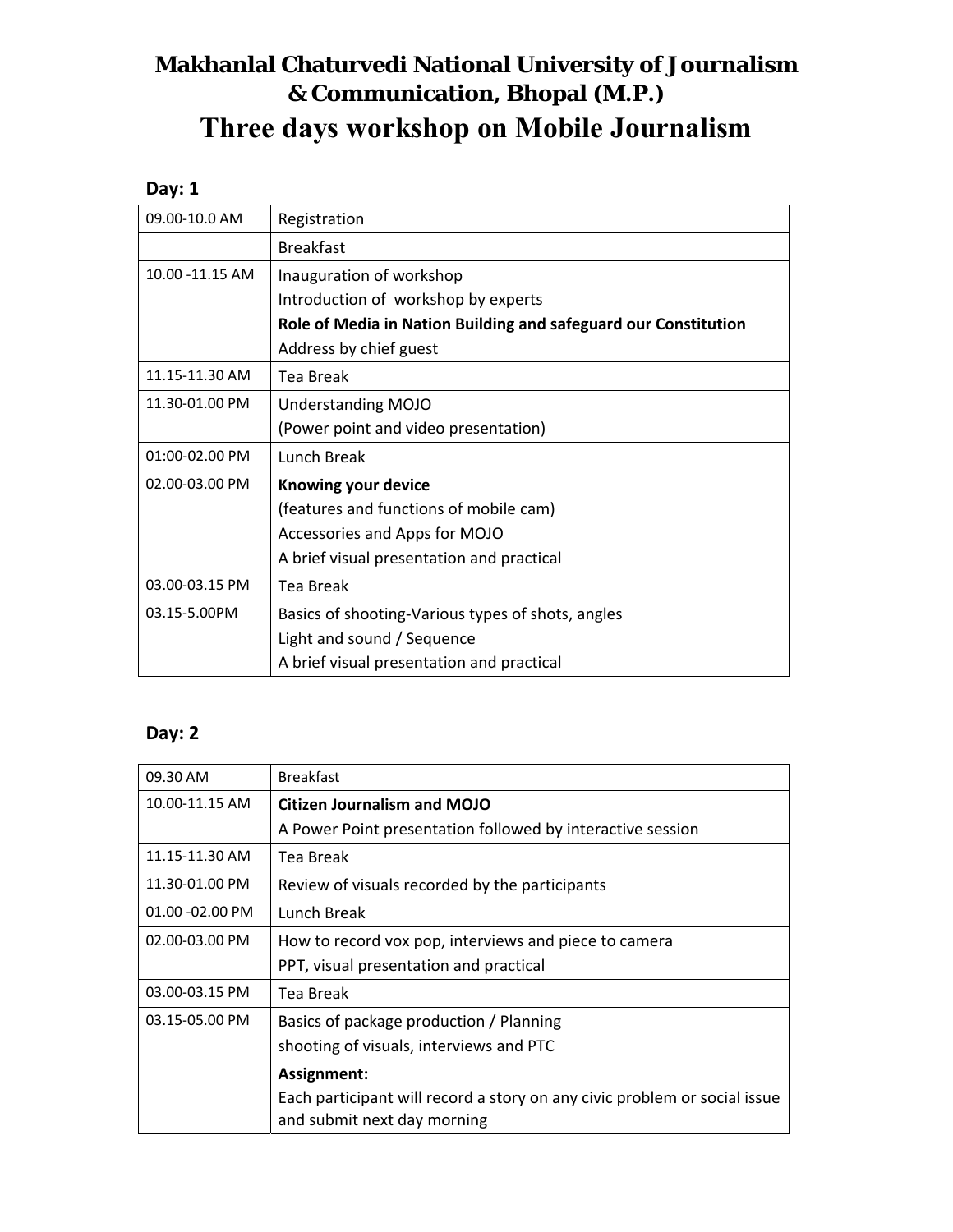## **Makhanlal Chaturvedi National University of Journalism & Communication, Bhopal (M.P.) Three days workshop on Mobile Journalism**

## **Day: 1**

| 09.00-10.0 AM    | Registration                                                    |
|------------------|-----------------------------------------------------------------|
|                  | <b>Breakfast</b>                                                |
| 10.00 - 11.15 AM | Inauguration of workshop                                        |
|                  | Introduction of workshop by experts                             |
|                  | Role of Media in Nation Building and safeguard our Constitution |
|                  | Address by chief guest                                          |
| 11.15-11.30 AM   | <b>Tea Break</b>                                                |
| 11.30-01.00 PM   | <b>Understanding MOJO</b>                                       |
|                  | (Power point and video presentation)                            |
| 01:00-02.00 PM   | Lunch Break                                                     |
| 02.00-03.00 PM   | Knowing your device                                             |
|                  | (features and functions of mobile cam)                          |
|                  | Accessories and Apps for MOJO                                   |
|                  | A brief visual presentation and practical                       |
| 03.00-03.15 PM   | Tea Break                                                       |
| 03.15-5.00PM     | Basics of shooting-Various types of shots, angles               |
|                  | Light and sound / Sequence                                      |
|                  | A brief visual presentation and practical                       |

## **Day: 2**

| 09.30 AM        | <b>Breakfast</b>                                                                                         |
|-----------------|----------------------------------------------------------------------------------------------------------|
| 10.00-11.15 AM  | <b>Citizen Journalism and MOJO</b>                                                                       |
|                 | A Power Point presentation followed by interactive session                                               |
| 11.15-11.30 AM  | Tea Break                                                                                                |
| 11.30-01.00 PM  | Review of visuals recorded by the participants                                                           |
| 01.00 -02.00 PM | Lunch Break                                                                                              |
| 02.00-03.00 PM  | How to record vox pop, interviews and piece to camera                                                    |
|                 | PPT, visual presentation and practical                                                                   |
| 03.00-03.15 PM  | Tea Break                                                                                                |
| 03.15-05.00 PM  | Basics of package production / Planning                                                                  |
|                 | shooting of visuals, interviews and PTC                                                                  |
|                 | Assignment:                                                                                              |
|                 | Each participant will record a story on any civic problem or social issue<br>and submit next day morning |